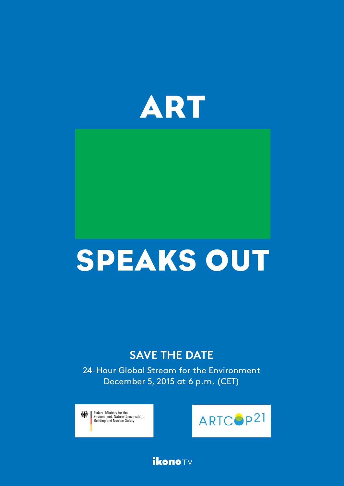

# SPEAKS OUT

# **SAVE THE DATE**

24-Hour Global Stream for the Environment December 5, 2015 at 6 p.m. (CET)

Federal Ministry for the « ■ rederal Ministry for the<br>Environment, Nature Conservation,<br>Building and Nuclear Safety



**ikonoTV**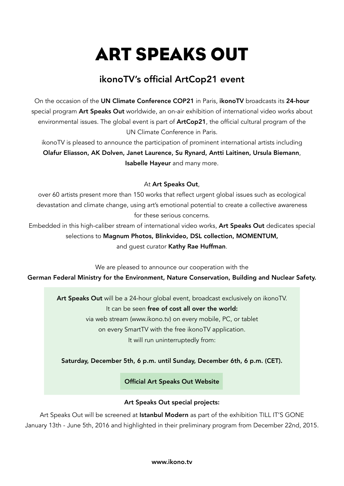# ART SPEAKS OUT

# ikonoTV's official ArtCop21 event

On the occasion of the [UN Climate Conference COP21](http://www.cop21paris.org) in Paris, ikonoTV broadcasts its 24-hour special program Art Speaks Out worldwide, an on-air exhibition of international video works about environmental issues. The global event is part of **[ArtCop21](http://www.artcop21.com)**, the official cultural program of the UN Climate Conference in Paris.

ikonoTV is pleased to announce the participation of prominent international artists including Olafur Eliasson, AK Dolven, Janet Laurence, Su Rynard, Antti Laitinen, Ursula Biemann, Isabelle Hayeur and many more.

#### At Art Speaks Out,

over 60 artists present more than 150 works that reflect urgent global issues such as ecological devastation and climate change, using art's emotional potential to create a collective awareness for these serious concerns.

Embedded in this high-caliber stream of international video works, Art Speaks Out dedicates special selections to [Magnum Photos,](http://www.magnumphotos.com) [Blinkvideo,](http://www.blinkvideo.de) DSL collection, [MOMENTUM,](http://momentumworldwide.org/exhibitions/current-exhibition/) and guest curator Kathy Rae Huffman.

We are pleased to announce our cooperation with the

[German Federal Ministry for the Environment, Nature Conservation, Building and Nuclear Safety.](http://www.bmub.bund.de) 

Art Speaks Out will be a 24-hour global event, broadcast exclusively on ikonoTV. It can be seen free of cost all over the world: via web stream (www.ikono.tv) on every mobile, PC, or tablet on every SmartTV with the free ikonoTV application.

It will run uninterruptedly from:

#### [Saturday, December 5th, 6 p.m. until Sunday, December 6th, 6 p.m. \(CET\).](http://artspeaksout.ikono.tv/home)

[Official Art Speaks Out Website](http://artspeaksout.ikono.tv/home)

#### Art Speaks Out special projects:

Art Speaks Out will be screened at [Istanbul Modern](http://www.istanbulmodern.org/en) as part of the exhibition TILL IT'S GONE January 13th - June 5th, 2016 and highlighted in their preliminary program from December 22nd, 2015.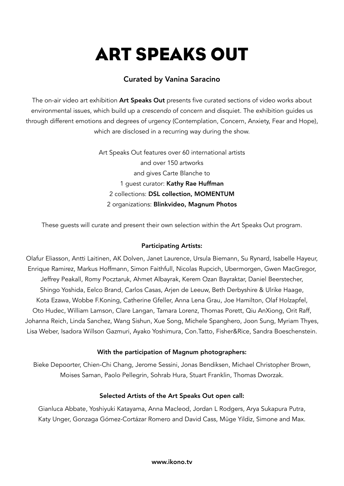# ART SPEAKS OUT

## Curated by Vanina Saracino

The on-air video art exhibition Art Speaks Out presents five curated sections of video works about environmental issues, which build up a *crescendo* of concern and disquiet. The exhibition guides us through different emotions and degrees of urgency (Contemplation, Concern, Anxiety, Fear and Hope), which are disclosed in a recurring way during the show.

> Art Speaks Out features over 60 international artists and over 150 artworks and gives Carte Blanche to 1 quest curator: Kathy Rae Huffman 2 collections: DSL collection, MOMENTUM 2 organizations: Blinkvideo, Magnum Photos

These guests will curate and present their own selection within the Art Speaks Out program.

#### Participating Artists:

Olafur Eliasson, Antti Laitinen, AK Dolven, Janet Laurence, Ursula Biemann, Su Rynard, Isabelle Hayeur, Enrique Ramirez, Markus Hoffmann, Simon Faithfull, Nicolas Rupcich, Ubermorgen, Gwen MacGregor, Jeffrey Peakall, Romy Pocztaruk, Ahmet Albayrak, Kerem Ozan Bayraktar, Daniel Beerstecher, Shingo Yoshida, Eelco Brand, Carlos Casas, Arjen de Leeuw, Beth Derbyshire & Ulrike Haage, Kota Ezawa, Wobbe F.Koning, Catherine Gfeller, Anna Lena Grau, Joe Hamilton, Olaf Holzapfel, Oto Hudec, William Lamson, Clare Langan, Tamara Lorenz, Thomas Porett, Qiu AnXiong, Orit Raff, Johanna Reich, Linda Sanchez, Wang Sishun, Xue Song, Michele Spanghero, Joon Sung, Myriam Thyes, Lisa Weber, Isadora Willson Gazmuri, Ayako Yoshimura, Con.Tatto, Fisher&Rice, Sandra Boeschenstein.

#### With the participation of Magnum photographers:

Bieke Depoorter, Chien-Chi Chang, Jerome Sessini, Jonas Bendiksen, Michael Christopher Brown, Moises Saman, Paolo Pellegrin, Sohrab Hura, Stuart Franklin, Thomas Dworzak.

#### Selected Artists of the Art Speaks Out open call:

Gianluca Abbate, Yoshiyuki Katayama, Anna Macleod, Jordan L Rodgers, Arya Sukapura Putra, Katy Unger, Gonzaga Gómez-Cortázar Romero and David Cass, Müge Yildiz, Simone and Max.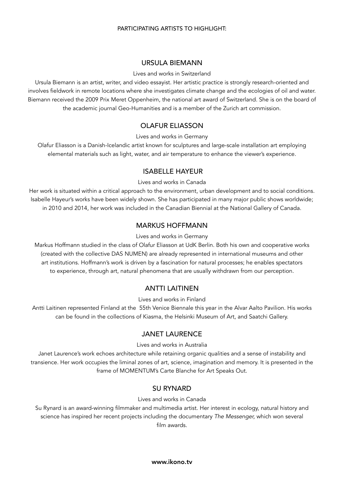#### PARTICIPATING ARTISTS TO HIGHLIGHT:

#### URSULA BIEMANN

#### Lives and works in Switzerland

Ursula Biemann is an artist, writer, and video essayist. Her artistic practice is strongly research-oriented and involves fieldwork in remote locations where she investigates climate change and the ecologies of oil and water. [Biemann received the 2009 Prix Meret Oppenheim, the national art award of Switzerland. She is on the board of](www.geobodies.org)  the academic journal Geo-Humanities and is a member of the Zurich art commission.

#### OLAFUR ELIASSON

Lives and works in Germany

[Olafur Eliasson is a Danish-Icelandic artist known for sculptures and large-scale installation art employing](www.olafureliasson.net)  elemental materials such as light, water, and air temperature to enhance the viewer's experience.

#### ISABELLE HAYEUR

Lives and works in Canada

[Her work is situated within a critical approach to the environment, urban development and to social conditions.](http://isabelle-hayeur.com)  Isabelle Hayeur's works have been widely shown. She has participated in many major public shows worldwide; in 2010 and 2014, her work was included in the Canadian Biennial at the National Gallery of Canada.

#### MARKUS HOFFMANN

#### Lives and works in Germany

[Markus Hoffmann studied in the class of Olafur Eliasson at UdK Berlin. Both his own and cooperative works](http://www.markushoffmann.cc)  (created with the collective DAS NUMEN) are already represented in international museums and other art institutions. Hoffmann's work is driven by a fascination for natural processes; he enables spectators to experience, through art, natural phenomena that are usually withdrawn from our perception.

#### ANTTI LAITINEN

Lives and works in Finland

[Antti Laitinen represented Finland at the 55th Venice Biennale this year in the Alvar Aalto Pavilion. His works](www.anttilaitinen.com)  can be found in the collections of Kiasma, the Helsinki Museum of Art, and Saatchi Gallery.

#### JANET LAURENCE

Lives and works in Australia

Janet Laurence's work echoes architecture while retaining organic qualities and a sense of instability and [transience. Her work occupies the liminal zones of art, science, imagination and memory. It is presented in the](www.janetlaurence.com)  frame of MOMENTUM's Carte Blanche for Art Speaks Out.

#### SU RYNARD

Lives and works in Canada

[Su Rynard is an award-winning filmmaker and multimedia artist. Her interest in ecology, natural history and](http://surynard.com)  science has inspired her recent projects including the documentary *The Messenger,* which won several film awards.

[www.ikono.tv](http://www.ikono.tv)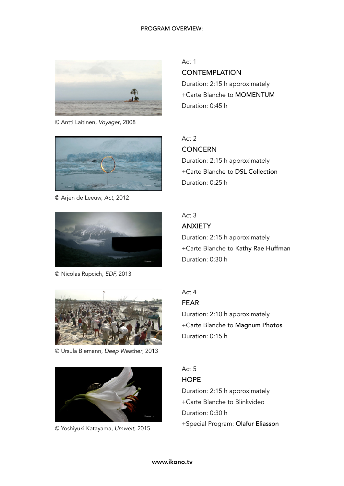#### PROGRAM OVERVIEW:



© Antti Laitinen, *Voyager*, 2008



© Arjen de Leeuw, *Act,* 2012



© Nicolas Rupcich, *EDF,* 2013

© Ursula Biemann, *Deep Weather*, 2013



© Yoshiyuki Katayama, *Umwelt,* 2015

Act 1

**CONTEMPLATION** 

Duration: 2:15 h approximately +Carte Blanche to MOMENTUM Duration: 0:45 h

# Act 2

**CONCERN** Duration: 2:15 h approximately +Carte Blanche to DSL Collection Duration: 0:25 h

#### Act 3 ANXIETY

Duration: 2:15 h approximately +Carte Blanche to Kathy Rae Huffman Duration: 0:30 h

## Act 4 FEAR Duration: 2:10 h approximately

+Carte Blanche to Magnum Photos Duration: 0:15 h

## Act 5

**HOPE** Duration: 2:15 h approximately +Carte Blanche to Blinkvideo Duration: 0:30 h +Special Program: Olafur Eliasson